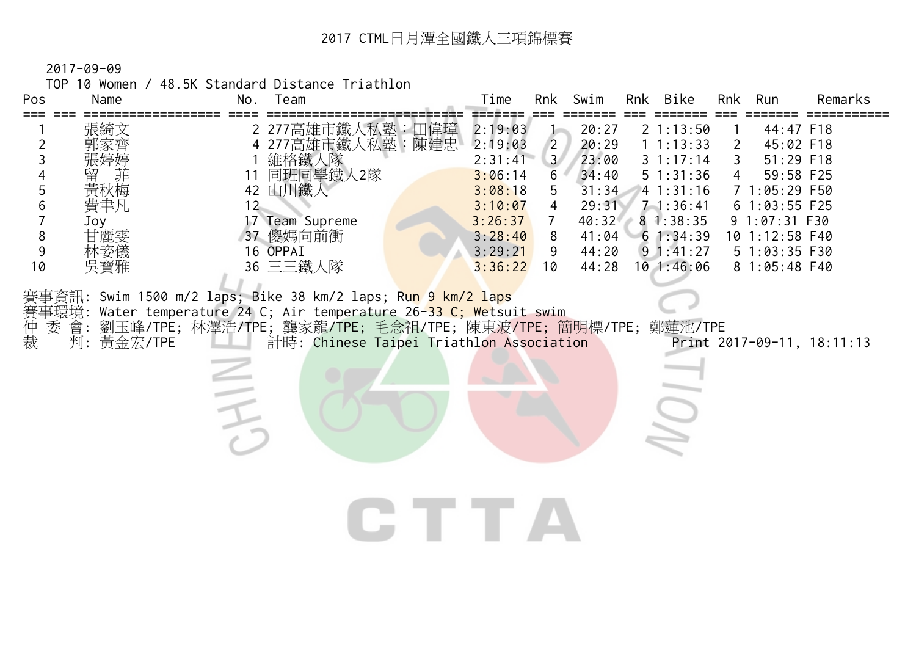TOP 10 Women / 48.5K Standard Distance Triathlon

| Pos                                                                                                         | Name                                                                     | Team<br>No.                                                                                                                                                                                                                                                                                                                    | Swim<br>Rnk Bike<br>Time<br>Rnk<br>Run<br>Remarks<br><b>Rnk</b>                                                                                                                                                                                                                                                                                                                                                                                                                                                                                                                                                                                                                                      |  |
|-------------------------------------------------------------------------------------------------------------|--------------------------------------------------------------------------|--------------------------------------------------------------------------------------------------------------------------------------------------------------------------------------------------------------------------------------------------------------------------------------------------------------------------------|------------------------------------------------------------------------------------------------------------------------------------------------------------------------------------------------------------------------------------------------------------------------------------------------------------------------------------------------------------------------------------------------------------------------------------------------------------------------------------------------------------------------------------------------------------------------------------------------------------------------------------------------------------------------------------------------------|--|
| $===$<br>$\overline{2}$<br>$\mathfrak{Z}$<br>4<br>5<br>6<br>$\overline{7}$<br>$\,8\,$<br>9<br>10<br>仲裁<br>委 | 張綺文<br>郭家齊<br>黃秋梅<br>費聿凡<br>Joy<br>甘麗雯<br>林姿儀<br>吳寶雅<br>會:<br>判: 黃金宏/TPE | 2 277高雄市鐵人私塾:田偉璋<br>4 277高雄市鐵人私塾:陳建忠<br>1 維格鐵人隊<br>11 同班同學鐵人2隊<br>42 山川鐵人<br>12<br>17 Team Supreme<br>37 傻媽向前衝<br>16 OPPAI<br>36 三三鐵人隊<br>賽事資訊: Swim 1500 m/2 laps; Bike 38 km/2 laps; Run 9 km/2 laps<br>賽事環境: Water temperature 24 C; Air temperature 26-33 C; Wetsuit swim<br>計時: Chinese Taipei Triathlon Association<br>三 | 2:19:03<br>20:27<br>21:13:50<br>44:47 F18<br>$\overline{2}$<br>2:19:03<br>20:29<br>1 1:13:33<br>45:02 F18<br>2<br>3 <sup>7</sup><br>23:00<br>51:29 F18<br>31:17:14<br>2:31:41<br>3<br>34:40<br>51:31:36<br>59:58 F25<br>3:06:14<br>6<br>3:08:18<br>5<br>31:34<br>41:31:16<br>7 1:05:29 F50<br>3:10:07<br>4<br>29:31<br>$7 - 1:36:41$<br>6 1:03:55 F25<br>40:32<br>3:26:37<br>81:38:35<br>9 1:07:31 F30<br>$7^{\circ}$<br>3:28:40<br>41:04<br>61:34:39<br>10 1:12:58 F40<br>8<br>$9 \t1:41:27$<br>3:29:21<br>44:20<br>5 1:03:35 F30<br>9<br>$10$ 1:46:06<br>8 1:05:48 F40<br>3:36:22<br>10<br>44:28<br>劉玉峰/TPE;林澤浩/TPE;龔家龍/TPE;毛念祖/TPE;陳東波/TPE;簡明標/TPE;鄭蓮池/TPE<br>Print 2017-09-11, 18:11:13<br>IE TE |  |
|                                                                                                             |                                                                          |                                                                                                                                                                                                                                                                                                                                |                                                                                                                                                                                                                                                                                                                                                                                                                                                                                                                                                                                                                                                                                                      |  |
|                                                                                                             |                                                                          |                                                                                                                                                                                                                                                                                                                                |                                                                                                                                                                                                                                                                                                                                                                                                                                                                                                                                                                                                                                                                                                      |  |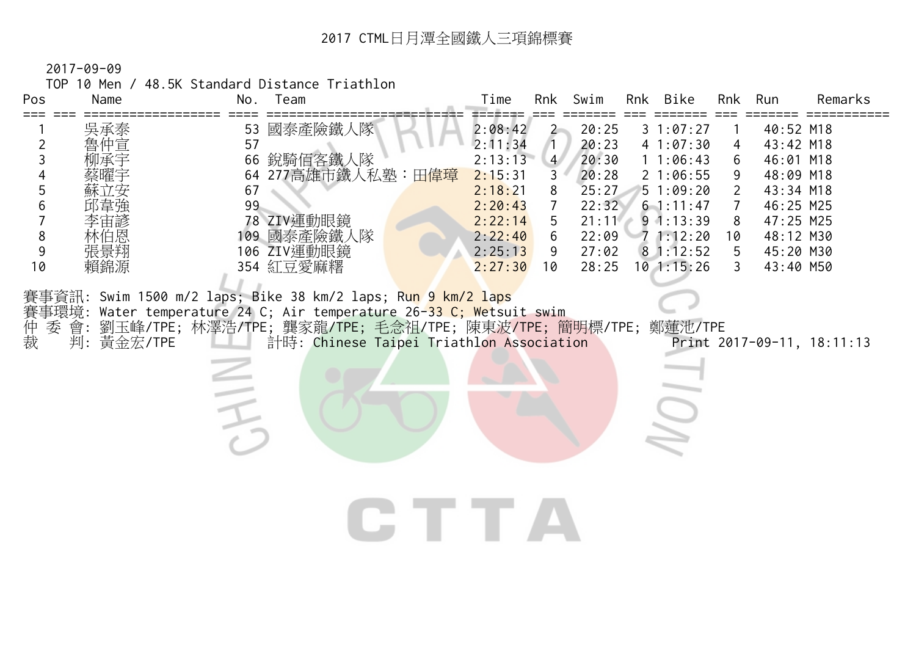TOP 10 Men / 48.5K Standard Distance Triathlon

| 2:08:42<br>國泰產險鐵人隊<br>53<br>20:25<br>31:07:27<br>40:52 M18<br>$\mathbf{2}$<br>吳承泰<br>魯仲宣<br>57<br>2:11:34<br>20:23<br>$\overline{c}$<br>41:07:30<br>43:42 M18<br>Π.<br>4<br>3<br>2:13:13<br>銳騎佰客鐵人隊<br>4 <sup>7</sup><br>20:30<br>11:06:43<br>46:01 M18<br>66<br>6<br>277高雄市鐵人私塾:田 <mark>偉璋</mark><br>2:15:31<br>20:28<br>21:06:55<br>48:09 M18<br>64<br>3<br>9<br>5<br>2:18:21<br>8<br>25:27<br>51:09:20<br>43:34 M18<br>67<br>2<br>99<br>6<br>2:20:43<br>22:32<br>$\overline{7}$<br>61:11:47<br>46:25 M25<br>78 ZIV運動眼鏡<br>2:22:14<br>21:11<br>$9 \t1:13:39$<br>47:25 M25<br>5<br>8<br>8<br>109 國泰產險鐵人隊<br>2:22:40<br>6<br>22:09<br>71:12:20<br>48:12 M30<br>林伯恩<br>10<br>106 ZIV運動眼鏡<br>9<br>張景翔<br>2:25:13<br>81:12:52<br>27:02<br>45:20 M30<br>9<br>5<br>354 紅豆愛麻糬<br>$10$ 1:15:26<br>10<br>賴錦源<br>2:27:30<br>28:25<br>43:40 M50<br>10<br>3<br>賽事資訊: Swim 1500 m/2 laps; Bike 38 km/2 laps; Ru <mark>n 9 km/2 laps</mark><br>Water temperature 24 C; Air temperature 26-33 C; Wetsuit swim<br>賽事環境:<br>仲裁<br>劉玉峰/TPE; 林澤浩/TPE; 龔家龍/TPE; 毛念祖/TPE; 陳東波/TPE; 簡明標/TPE; 鄭蓮池/TPE<br>會:<br>委<br>判: 黃金宏/TPE<br>計時: Chinese Taipei Triathlon Association<br>Print 2017-09-11, 18:11:13 | Pos | Name | Team<br>No. | Time | Rnk | Swim | Rnk Bike | Rnk | Run | Remarks |
|------------------------------------------------------------------------------------------------------------------------------------------------------------------------------------------------------------------------------------------------------------------------------------------------------------------------------------------------------------------------------------------------------------------------------------------------------------------------------------------------------------------------------------------------------------------------------------------------------------------------------------------------------------------------------------------------------------------------------------------------------------------------------------------------------------------------------------------------------------------------------------------------------------------------------------------------------------------------------------------------------------------------------------------------------------------------------------------------------------------------------------------------------------------------------------|-----|------|-------------|------|-----|------|----------|-----|-----|---------|
|                                                                                                                                                                                                                                                                                                                                                                                                                                                                                                                                                                                                                                                                                                                                                                                                                                                                                                                                                                                                                                                                                                                                                                                    |     |      |             |      |     |      |          |     |     |         |
|                                                                                                                                                                                                                                                                                                                                                                                                                                                                                                                                                                                                                                                                                                                                                                                                                                                                                                                                                                                                                                                                                                                                                                                    |     |      |             |      |     |      |          |     |     |         |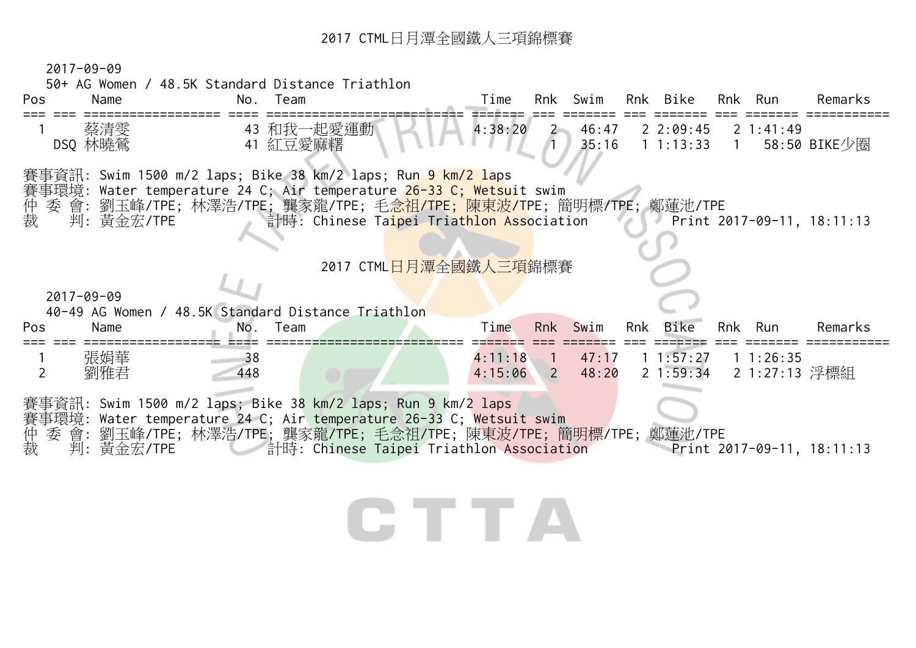2017-09-09

50+ AG Women / 48.5K Standard Distance Triathlon

| Pos            | Name             | No.       | Team     |                                                                                                                                                                                                                                                                      | Time               |                      | Rnk Swim       | Rnk Bike                    |                | Rnk Run                   | Remarks                             |
|----------------|------------------|-----------|----------|----------------------------------------------------------------------------------------------------------------------------------------------------------------------------------------------------------------------------------------------------------------------|--------------------|----------------------|----------------|-----------------------------|----------------|---------------------------|-------------------------------------|
|                | 蔡清雯<br>DSQ 林曉鶯   |           | 41 紅豆愛麻糬 | 43 和我一起愛運動                                                                                                                                                                                                                                                           | 4:38:20            | $2 -$                | 46:47<br>35:16 | 22:09:45<br>1 1:13:33       | $\overline{1}$ | $2 \t1:41:49$             | 58:50 BIKE少圈                        |
| 仲裁             | 判:黃金宏/TPE        |           |          | 賽事資訊: Swim 1500 m/2 laps; Bike 38 km/2 laps; Run 9 km/2 laps<br>賽事環境: Water temperature 24 C; Air temperature 26-33 C; Wetsuit swim<br>委 會: 劉玉峰/TPE; 林澤浩/TPE; 龔家龍/TPE; 毛 <mark>念祖/TPE; 陳東波/T</mark> PE; 簡明標/TPE; 鄭蓮池/TPE<br>計時: Chinese Taipei Triathlon Association |                    |                      |                |                             |                |                           | Print $2017 - 09 - 11$ , $18:11:13$ |
|                |                  |           |          | 2017 CTML日月潭全國鐵人三項錦標賽                                                                                                                                                                                                                                                |                    |                      |                |                             |                |                           |                                     |
|                | $2017 - 09 - 09$ |           |          |                                                                                                                                                                                                                                                                      |                    |                      |                |                             |                |                           |                                     |
|                |                  |           |          | 40-49 AG Women / 48.5K Standard Distance Triathlon                                                                                                                                                                                                                   |                    |                      |                |                             |                |                           |                                     |
| Pos            | Name             | No.       | Team     |                                                                                                                                                                                                                                                                      | Time               |                      | Rnk Swim       | Rnk Bike                    |                | Rnk Run                   | Remarks                             |
| $\overline{2}$ | 張娟華<br>劉雅君       | 38<br>448 |          |                                                                                                                                                                                                                                                                      | 4:11:18<br>4:15:06 | $\blacklozenge$<br>2 | 47:17<br>48:20 | 1 1:57:27<br>$2 \; 1:59:34$ |                | 11:26:35<br>2 1:27:13 浮標組 |                                     |
|                |                  |           |          | 賽事資訊: Swim 1500 m/2 laps; Bike 38 km/2 laps; Run 9 km/2 laps<br>賽事環境: Water temperature 24 C; Air temperature 26-33 C; Wetsuit swim                                                                                                                                  |                    |                      |                |                             |                |                           |                                     |
| 仲<br>裁         | 判:黃金宏/TPE        |           |          | 委 會: 劉玉峰/TPE; 林澤浩/TPE; 龔家龍/TPE; 毛念祖/TPE; 陳東波/TPE; 簡明標/TPE; 鄭蓮池/TPE<br><b>induced External External External External External External External Extendion</b>                                                                                                        |                    |                      |                |                             |                |                           | Print $2017 - 09 - 11$ , $18:11:13$ |
|                |                  |           |          |                                                                                                                                                                                                                                                                      |                    |                      |                |                             |                |                           |                                     |
|                |                  |           |          |                                                                                                                                                                                                                                                                      |                    |                      |                |                             |                |                           |                                     |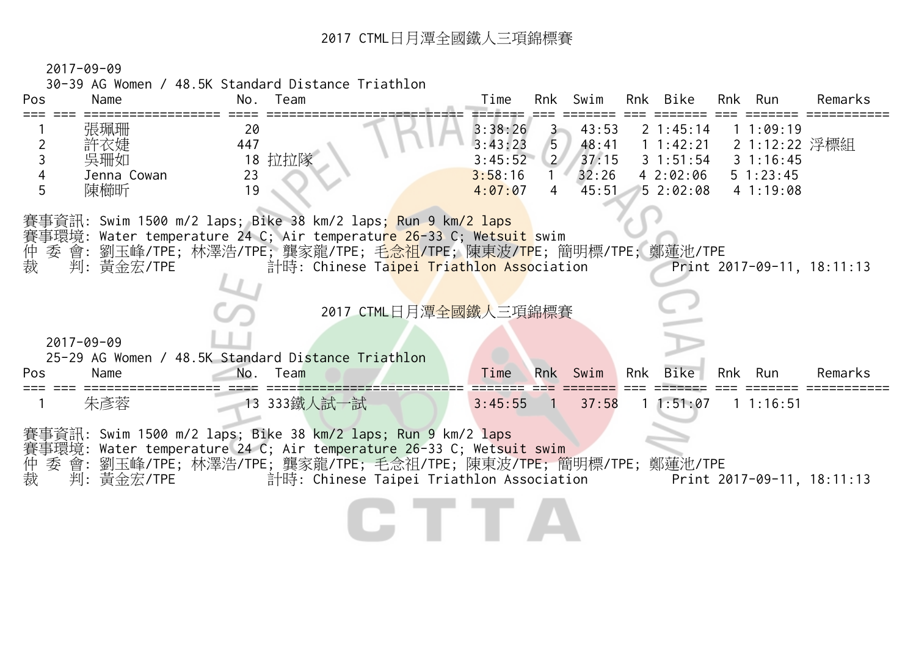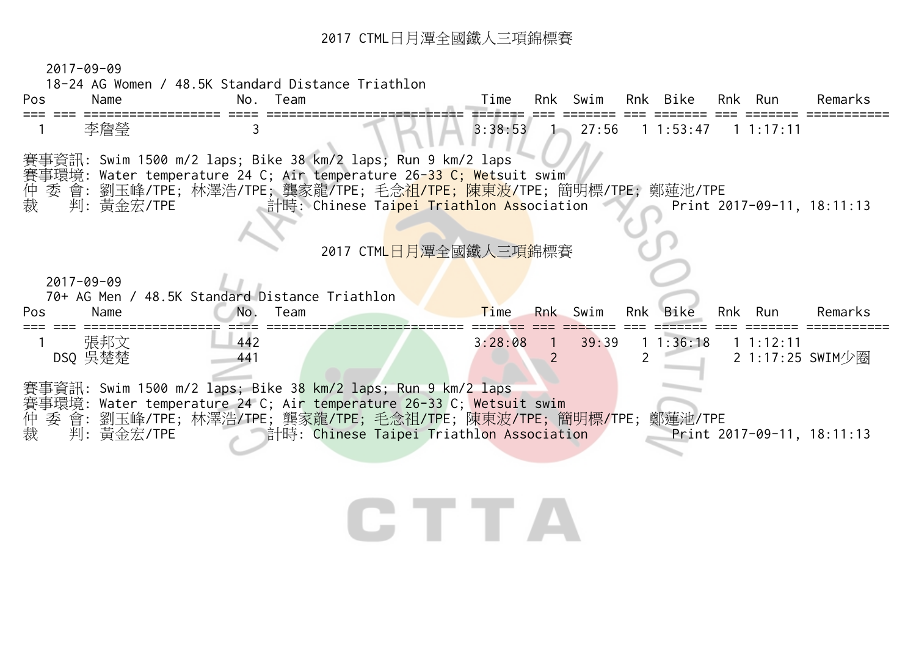|        | Name             | No. Team                                                                           |                                          | Time    |                | Rnk Swim        |     | Rnk Bike    |     | Rnk Run                             | Remarks |
|--------|------------------|------------------------------------------------------------------------------------|------------------------------------------|---------|----------------|-----------------|-----|-------------|-----|-------------------------------------|---------|
|        | 李詹瑩              | 3                                                                                  |                                          | 3:38:53 |                | $1 \quad 27:56$ |     | 1 1:53:47   |     | $1 \t1:17:11$                       |         |
|        |                  | 賽事資訊: Swim 1500 m/2 laps; Bike 38 km/2 laps; Run 9 km/2 laps                       |                                          |         |                |                 |     |             |     |                                     |         |
|        |                  | 賽事環境: Water temperature 24 C; Air temperature 26 <mark>-33 C; Wet</mark> suit swim |                                          |         |                |                 |     |             |     |                                     |         |
| 仲裁     |                  | 委 會: 劉玉峰/TPE; 林澤浩/TPE; 龔家龍/TPE; 毛念 <mark>祖/TPE; 陳東波/</mark> TPE; 簡明標/TPE; 鄭蓮池/TPE  |                                          |         |                |                 |     |             |     |                                     |         |
|        | 判:黃金宏/TPE        |                                                                                    | 計時: Chinese Taipei Triathlon Association |         |                |                 |     |             |     | Print 2017-09-11, 18:11:13          |         |
|        |                  |                                                                                    |                                          |         |                |                 |     |             |     |                                     |         |
|        |                  |                                                                                    | 2017 CTML日月潭全國鐵人三項錦標賽                    |         |                |                 |     |             |     |                                     |         |
|        |                  |                                                                                    |                                          |         |                |                 |     |             |     |                                     |         |
|        |                  |                                                                                    |                                          |         |                |                 |     |             |     |                                     |         |
|        | $2017 - 09 - 09$ |                                                                                    |                                          |         |                |                 |     |             |     |                                     |         |
|        |                  | 70+ AG Men / 48.5K Standard Distance Triathlon                                     |                                          |         |                |                 |     |             |     |                                     |         |
| Pos    | Name             | No.<br>Team                                                                        |                                          | Time    |                | Rnk Swim        | Rnk | <b>Bike</b> | Rnk | Run                                 | Remarks |
|        | 張邦文              | 442                                                                                |                                          | 3:28:08 | $\overline{1}$ | 39:39           |     | 1:36:18     |     | $1 \; 1:12:11$                      |         |
|        | DSQ 吳楚楚          | 441                                                                                |                                          |         |                |                 |     |             |     | 2 1:17:25 SWIM少圈                    |         |
|        |                  |                                                                                    |                                          |         |                |                 |     |             |     |                                     |         |
|        |                  | 賽事資訊: Swim 1500 m/2 laps; Bike 38 km/2 laps; Run 9 km/2 laps                       |                                          |         |                |                 |     |             |     |                                     |         |
|        |                  | 賽事環境: Water temperature 24 C; Air temperature 26-33 C; Wetsuit swim                |                                          |         |                |                 |     |             |     |                                     |         |
| 仲<br>裁 | 判:黃金宏/TPE        | 委 會: 劉玉峰/TPE; 林澤浩/TPE; 龔家龍/TPE; 毛念祖/TPE; 陳東波/TPE; 簡明標/TPE; 鄭蓮池/TPE                 | 計時: Chinese Taipei Triathlon Association |         |                |                 |     |             |     | Print $2017 - 09 - 11$ , $18:11:13$ |         |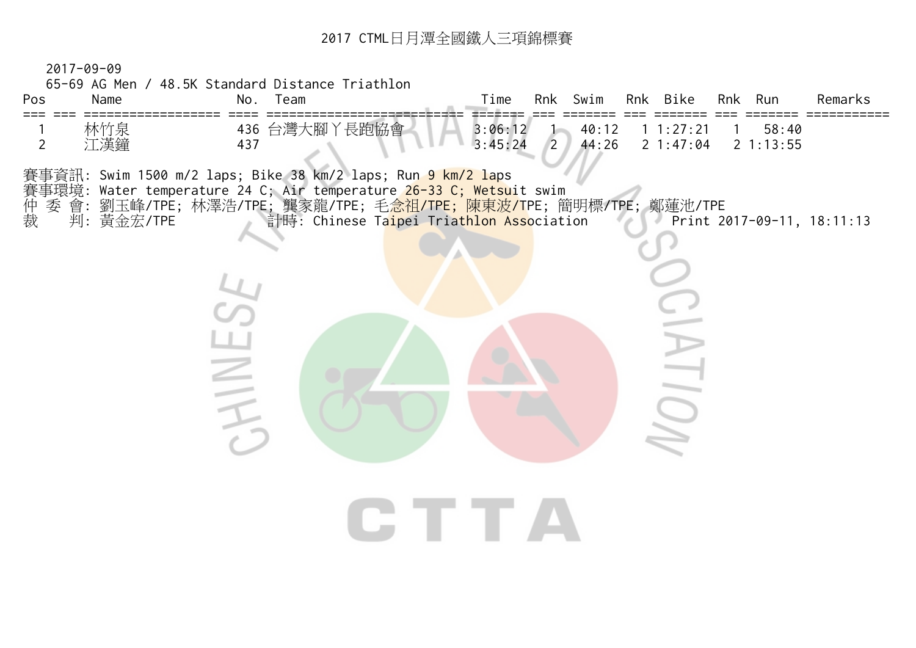2017-09-09

| Pos<br>Name<br>===           | 65-69 AG Men / 48.5K Standard Distance Triathlon<br>No.<br>Team |                                                                                                                                                                                                                                                                      | Time               | Rnk Swim       |                | Rnk Bike               | Rnk Run |                   | Remarks                    |
|------------------------------|-----------------------------------------------------------------|----------------------------------------------------------------------------------------------------------------------------------------------------------------------------------------------------------------------------------------------------------------------|--------------------|----------------|----------------|------------------------|---------|-------------------|----------------------------|
| 林竹泉<br>江漢鐘<br>$\overline{2}$ | 437                                                             | 436 台灣大腳丫長跑協會                                                                                                                                                                                                                                                        | 3:06:12<br>3:45:24 | $\overline{2}$ | 40:12<br>44:26 | 1 1:27:21<br>2 1:47:04 |         | 58:40<br>21:13:55 |                            |
| 仲裁<br>判: 黃金宏/TPE             | HIL                                                             | 賽事資訊: Swim 1500 m/2 laps; Bike 38 km/2 laps; Run 9 km/2 laps<br>賽事環境: Water temperature 24 C; Air temperature 26-33 C; Wetsuit swim<br>委 會: 劉玉峰/TPE; 林澤浩/TPE; 龔家龍/TPE; 毛 <mark>念祖/TPE; 陳東波/T</mark> PE; 簡明標/TPE; 鄭蓮池/TPE<br>計時: Chinese Taipei Triathlon Association |                    |                |                |                        |         |                   | Print 2017-09-11, 18:11:13 |
|                              |                                                                 | CHI TELEVISION                                                                                                                                                                                                                                                       |                    |                |                |                        |         |                   |                            |
|                              |                                                                 |                                                                                                                                                                                                                                                                      |                    |                |                |                        |         |                   |                            |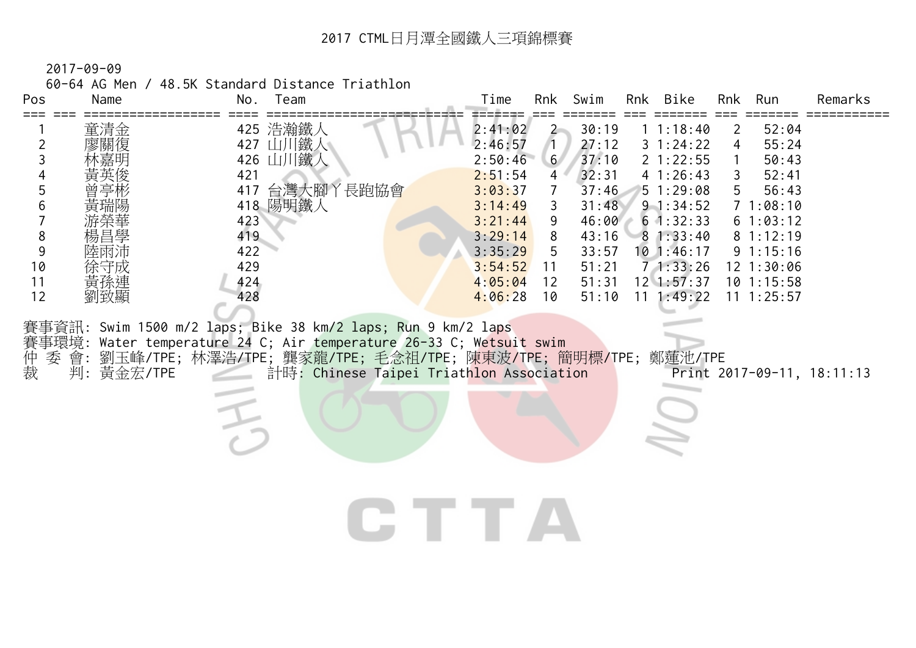60-64 AG Men / 48.5K Standard Distance Triathlon

| Pos                     | Name              | 11 TULIT / TO.UN Standard DiStance In Iathlon<br>No.<br>Team                                                                                                                           | Rnk Swim<br>Remarks<br>Time<br>Rnk Bike<br>Rnk<br>Run                                                                                                                                                                                                                                                                                                                                                                                                                                                                                                                                                              |
|-------------------------|-------------------|----------------------------------------------------------------------------------------------------------------------------------------------------------------------------------------|--------------------------------------------------------------------------------------------------------------------------------------------------------------------------------------------------------------------------------------------------------------------------------------------------------------------------------------------------------------------------------------------------------------------------------------------------------------------------------------------------------------------------------------------------------------------------------------------------------------------|
| 5<br>8<br>9<br>10<br>11 | 童清金<br>黃孫連        | 425 浩瀚鐵人<br>427 山川鐵人<br>426 山川鐵人<br>421<br>417 台灣大腳丫長跑協會<br>418 陽明鐵人<br>423<br>419<br>422<br>429<br>424                                                                                | 30:19<br>11:18:40<br>52:04<br>2:41:02<br>2<br>$\mathbf{Z}$<br>2:46:57<br>27:12<br>$3 \t1:24:22$<br>55:24<br>4<br>37:10<br>2:50:46<br>6 <sup>7</sup><br>$2 \t1:22:55$<br>50:43<br>32:31<br>4 1:26:43<br>2:51:54<br>52:41<br>4<br>3:03:37<br>37:46<br>51:29:08<br>56:43<br>7<br>3:14:49<br>31:48<br>$9 \t1:34:52$<br>71:08:10<br>3<br>3:21:44<br>46:00<br>$6 \t1:32:33$<br>61:03:12<br>9<br>3:29:14<br>43:16<br>81:12:19<br>8<br>81:33:40<br>3:35:29<br>33:57<br>$10$ 1:46:17<br>91:15:16<br>5<br>71:33:26<br>3:54:52<br>51:21<br>$12 \t1:30:06$<br>11<br>4:05:04<br>51:31<br>$12 \ \ 1:57:37$<br>$10$ 1:15:58<br>12 |
| 12<br>仲裁                | 劉致顯<br>判: 黃金宏/TPE | 428<br>賽事資訊: Swim 1500 m/2 laps; Bike 38 km/2 laps; Run 9 km/2 laps<br>賽事環境: Water temperature 24 C; Air temperature 26-33 C; Wetsuit swim<br>計時: Chinese Taipei Triathlon Association | 4:06:28<br>$11 \t1:49:22$<br>51:10<br>$11 \t1:25:57$<br>10<br>委 會: 劉玉峰/TPE; 林澤浩/TPE; 龔家龍/TPE; 毛念祖/TPE; 陳東波/TPE; 簡明標/TPE; 鄭蓮池/TPE<br>Print 2017-09-11, 18:11:13                                                                                                                                                                                                                                                                                                                                                                                                                                                     |
|                         |                   |                                                                                                                                                                                        |                                                                                                                                                                                                                                                                                                                                                                                                                                                                                                                                                                                                                    |

**U**IIA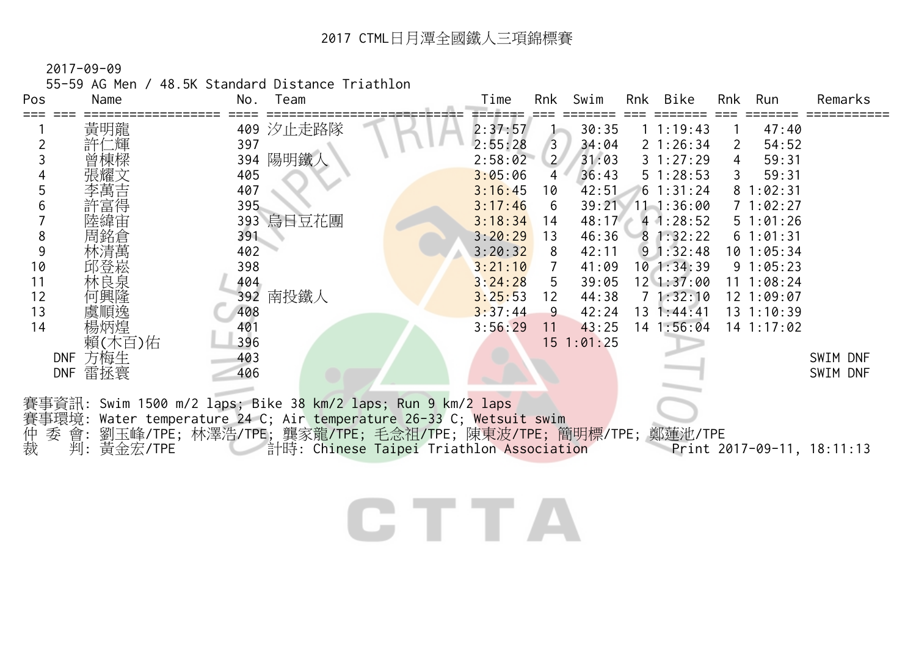55-59 AG Men / 48.5K Standard Distance Triathlon

| Pos         | Name              | Team<br>No.                                                                                                                   | Swim<br>Rnk Bike<br>Time<br>Rnk<br>Run<br>Remarks<br><b>Rnk</b>                                                                         |
|-------------|-------------------|-------------------------------------------------------------------------------------------------------------------------------|-----------------------------------------------------------------------------------------------------------------------------------------|
|             | 黃明龍               | 409 汐止走路隊                                                                                                                     | 2:37:57<br>30:35<br>11:19:43<br>47:40                                                                                                   |
| 2           | 許仁輝               | 397                                                                                                                           | 2:55:28<br>34:04<br>2 1:26:34<br>54:52<br>$\overline{3}$<br>2                                                                           |
|             |                   | 394 陽明鐵人                                                                                                                      | 31:03<br>2:58:02<br>$\overline{2}$<br>31:27:29<br>59:31<br>4                                                                            |
|             |                   | 405                                                                                                                           | 36:43<br>3:05:06<br>51:28:53<br>59:31<br>4                                                                                              |
|             |                   | 407                                                                                                                           | 3:16:45<br>42:51<br>61:31:24<br>81:02:31<br>10                                                                                          |
| 6           |                   | 395                                                                                                                           | 3:17:46<br>39:21 11 1:36:00<br>71:02:27<br>6                                                                                            |
|             |                   | 393 烏日豆花團                                                                                                                     | 3:18:34<br>48:17<br>41:28:52<br>51:01:26<br>14                                                                                          |
| 8           |                   | 391                                                                                                                           | 3:20:29<br>46:36<br>81:32:22<br>61:01:31<br>13                                                                                          |
| 9           |                   | 402                                                                                                                           | 3:20:32<br>42:11<br>$9 \t1:32:48$<br>8<br>101:05:34                                                                                     |
| 10          | 邱登崧               | 398                                                                                                                           | $10$ 1:34:39<br>3:21:10<br>41:09<br>91:05:23<br>7                                                                                       |
| 11          | 林良泉               | 404                                                                                                                           | 3:24:28<br>5<br>39:05<br>$12 \ 1:37:00$<br>11 1:08:24                                                                                   |
| 12          | 何興隆               | 392 南投鐵人                                                                                                                      | 71:32:10<br>3:25:53<br>44:38<br>12 1:09:07<br>12                                                                                        |
| 13          | 虞順逸               | 408                                                                                                                           | 3:37:44<br>42:24<br>$13 \t1:44:41$<br>9<br>$13 \t1:10:39$                                                                               |
| 14          | 楊炳煌               | 401                                                                                                                           | 3:56:29<br>43:25<br>$14$ 1:56:04<br>$14$ 1:17:02<br>11                                                                                  |
|             | 賴(木百)佑            | 396                                                                                                                           | $15$ $1:01:25$                                                                                                                          |
|             | 方梅生<br><b>DNF</b> | 403                                                                                                                           | SWIM DNF                                                                                                                                |
|             | 雷拯寰<br><b>DNF</b> | 406                                                                                                                           | SWIM DNF                                                                                                                                |
| 賽事環境:<br>仲裁 | 委 會:<br>判:黃金宏/TPE | 賽事資訊: Swim 1500 m/2 laps; Bike 38 km/2 laps; Run 9 km/2 laps<br>Water temperature 24 C; Air temperature 26-33 C; Wetsuit swim | 劉玉峰/TPE; 林澤浩/TPE; 龔家龍/TPE; 毛念祖/TPE; 陳東波/TPE; 簡明標/TPE; 鄭蓮池/TPE<br>計時: Chinese Taipei Triathlon Association<br>Print 2017-09-11, 18:11:13 |
|             |                   |                                                                                                                               |                                                                                                                                         |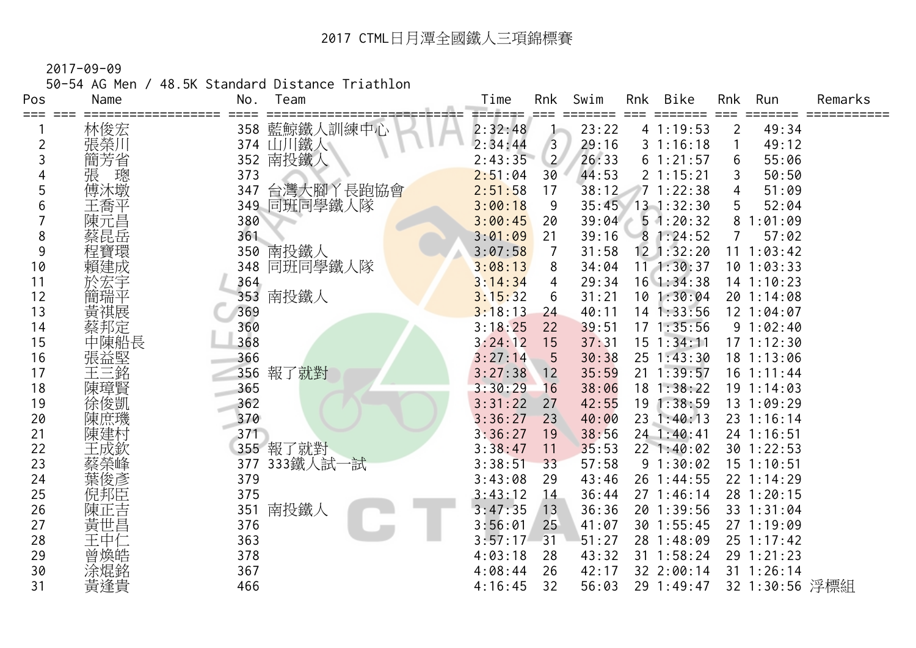50-54 AG Men / 48.5K Standard Distance Triathlon

| Pos<br>=== | Name   | Team<br>No.      | Time    | Rnk            | Swim  | Rnk | Bike<br>=====   | Rnk            | Run            | Remarks |
|------------|--------|------------------|---------|----------------|-------|-----|-----------------|----------------|----------------|---------|
|            | 林俊宏    | 藍鯨鐵人訓練中心<br>358  | 2:32:48 |                | 23:22 |     | 4 1:19:53       | $\overline{2}$ | 49:34          |         |
| 2          | 張榮川    | 374 山川鐵人         | 2:34:44 | 3              | 29:16 |     | 31:16:18        |                | 49:12          |         |
| 3          | 簡芳省    | 南投鐵人<br>352      | 2:43:35 | $\overline{2}$ | 26:33 |     | 61:21:57        | 6              | 55:06          |         |
|            | 張<br>璁 | 373              | 2:51:04 | 30             | 44:53 |     | 2 1:15:21       |                | 50:50          |         |
| 5          | 傅沐墩    | 台灣大腳丫長跑協會<br>347 | 2:51:58 | 17             | 38:12 |     | 71:22:38        | 4              | 51:09          |         |
| 6          | 王喬平    | 349 同班同學鐵人隊      | 3:00:18 | 9              | 35:45 |     | $13 \t1:32:30$  | 5              | 52:04          |         |
|            | 陳元昌    | 380              | 3:00:45 | 20             | 39:04 |     | 51:20:32        | 8              | 1:01:09        |         |
| 8          | 蔡昆岳    | 361              | 3:01:09 | 21             | 39:16 |     | 81:24:52        |                | 57:02          |         |
| 9          | 程寶環    | 南投鐵人<br>350      | 3:07:58 | 7              | 31:58 |     | $12$ $1:32:20$  | 11             | 1:03:42        |         |
| 10         | 賴建成    | 同班同學鐵人隊<br>348   | 3:08:13 | 8              | 34:04 |     | 111:30:37       |                | $10$ 1:03:33   |         |
| 11         |        | 364              | 3:14:34 | 4              | 29:34 |     | $16$ 1:34:38    |                | 14 1:10:23     |         |
| 12         | 簡瑞平    | 南投鐵人<br>353      | 3:15:32 | 6              | 31:21 |     | 101:30:04       |                | 20 1:14:08     |         |
| 13         | 黃祺展    | 369              | 3:18:13 | 24             | 40:11 |     | $14$ 1:33:56    |                | 12 1:04:07     |         |
| 14         | 蔡邦定    | 360              | 3:18:25 | 22             | 39:51 |     | $17 \; 1:35:56$ |                | 91:02:40       |         |
| 15         | 中陳船長   | 368              | 3:24:12 | 15             | 37:31 |     | $15$ $1:34:11$  |                | 171:12:30      |         |
| 16         | 張益堅    | 366              | 3:27:14 | 5              | 30:38 |     | 25 1:43:30      |                | 18 1:13:06     |         |
| 17         | 王三銘    | 報了就對<br>356      | 3:27:38 | 12             | 35:59 |     | $21 \t1:39:57$  |                | $16 \t1:11:44$ |         |
| 18         | 陳璋賢    | 365              | 3:30:29 | 16             | 38:06 |     | $18$ 1:38:22    |                | 191:14:03      |         |
| 19         | 徐俊凱    | 362              | 3:31:22 | 27             | 42:55 |     | 19 1:38:59      |                | 13 1:09:29     |         |
| 20         |        | 370              | 3:36:27 | 23             | 40:00 |     | 23 1:40:13      |                | 23 1:16:14     |         |
| 21         |        | 371              | 3:36:27 | 19             | 38:56 |     | 24 1:40:41      |                | 24 1:16:51     |         |
| 22         | 王成欽    | 355 報了就對         | 3:38:47 | 11             | 35:53 |     | 22 1:40:02      |                | 30 1:22:53     |         |
| 23         | 蔡榮峰    | 333鐵人試一試<br>377  | 3:38:51 | 33             | 57:58 |     | 91:30:02        |                | $15$ $1:10:51$ |         |
| 24         | 葉俊彥    | 379              | 3:43:08 | 29             | 43:46 |     | 26 1:44:55      |                | 22 1:14:29     |         |
| 25         | 倪邦臣    | 375              | 3:43:12 | 14             | 36:44 |     | 271:46:14       |                | 28 1:20:15     |         |
| 26         | 陳正吉    | 南投鐵人<br>351      | 3:47:35 | 13             | 36:36 |     | 20 1:39:56      |                | 33 1:31:04     |         |
| 27         | 黃世昌    | 376              | 3:56:01 | 25             | 41:07 |     | 30 1:55:45      |                | 27 1:19:09     |         |
| 28         | 王中仁    | 363              | 3:57:17 | 31             | 51:27 |     | 28 1:48:09      |                | 25 1:17:42     |         |
| 29         | 曾煥皓    | 378              | 4:03:18 | 28             | 43:32 |     | 31 1:58:24      |                | 29 1:21:23     |         |
| 30         | 涂焜銘    | 367              | 4:08:44 | 26             | 42:17 |     | 32 2:00:14      |                | $31 \t1:26:14$ |         |
| 31         | 黃逢貴    | 466              | 4:16:45 | 32             | 56:03 |     | 29 1:49:47      |                | 32 1:30:56 浮標組 |         |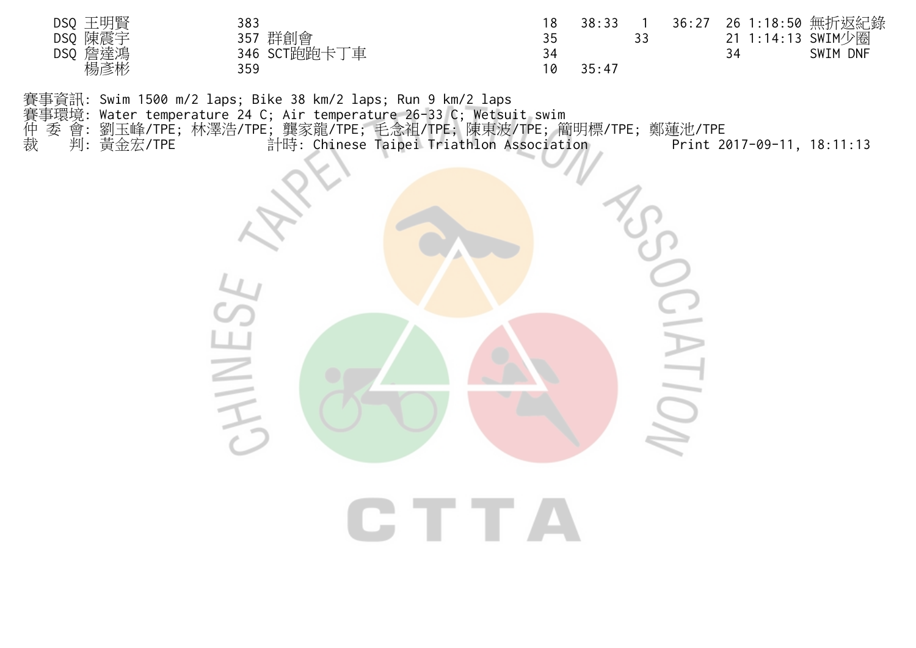| DSQ 王明賢    | 383          |    | 38:33 |  |    | 36:27 26 1:18:50 無折返紀錄 |
|------------|--------------|----|-------|--|----|------------------------|
| DSQ 陳震宇    | 357 群創會      |    |       |  |    | 21 1:14:13 SWIM少圈      |
| 詹達鴻<br>DSQ | 346 SCT跑跑卡丁車 |    |       |  | 34 | SWIM DNF               |
| 楊彥彬        | 359          | 10 | 35:47 |  |    |                        |

賽事資訊: Swim 1500 m/2 laps; Bike 38 km/2 laps; Run 9 km/2 laps

賽事環境: Water temperature 24 C; Air temperature 26-33 C; Wetsuit swim

仲 委 會: 劉玉峰/TPE; 林澤浩/TPE; 龔家龍/TPE; 毛念祖/TPE; 陳東波/TPE; 簡明標/TPE; 鄭蓮池/TPE

裁 判: 黃金宏/TPE 計時: Chinese Taipei Triathlon Association Print 2017-09-11, 18:11:13

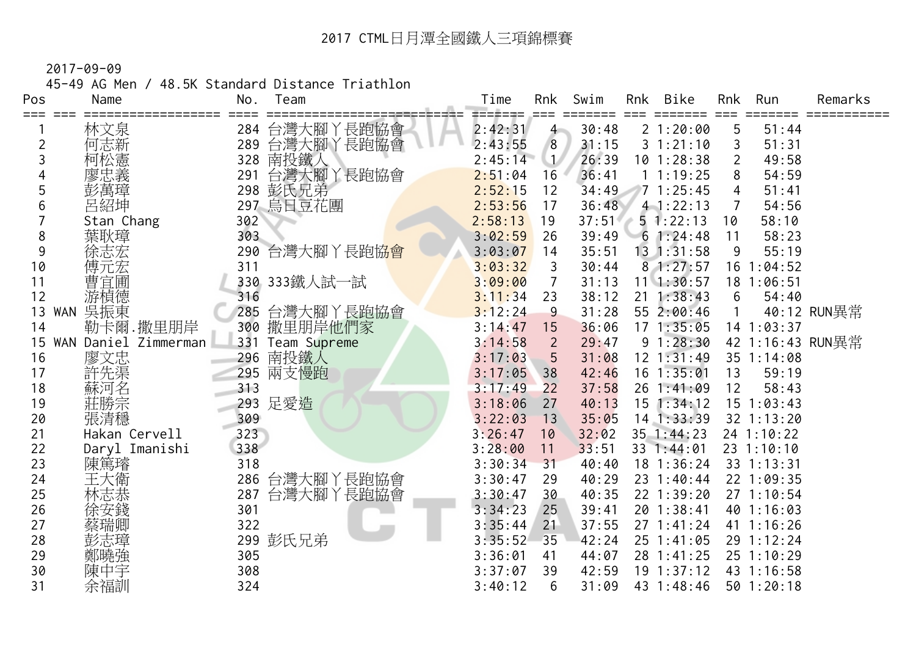45-49 AG Men / 48.5K Standard Distance Triathlon

| Pos              | Name             | No.        | Team         | Time               | Rnk            | Swim           | Rnk | <b>Bike</b>                  | Rnk | Run                      | Remarks          |
|------------------|------------------|------------|--------------|--------------------|----------------|----------------|-----|------------------------------|-----|--------------------------|------------------|
| ===              | 林文泉              | 284        | 台灣大腳丫長跑協會    | ⋍⋍≢⋍∓⋍<br>2:42:31  | $4 -$          | 30:48          |     | 21:20:00                     | 5   | 51:44                    |                  |
| 2                | 何志新              | 289        | 台灣大腳丫長跑協會    | 2:43:55            | 8              | 31:15          |     | 31:21:10                     | 3   | 51:31                    |                  |
| 3                | 柯松憲              | 328        | 南投鐵人         | 2:45:14            | $\mathbf{1}$   | 26:39          |     | $10$ 1:28:38                 | 2   | 49:58                    |                  |
|                  | 寥忠義              | 291        | 台灣大腳丫長跑協會    | 2:51:04            | 16             | 36:41          |     | 11:19:25                     | 8   | 54:59                    |                  |
| 5                |                  |            | 298 彭氏兄弟     | 2:52:15            | 12             | 34:49          |     | 71:25:45                     | 4   | 51:41                    |                  |
| 6                | 彭萬璋<br>呂紹坤       |            | 297 烏日豆花團    | 2:53:56            | 17             | 36:48          |     | $4 - 1:22:13$                |     | 54:56                    |                  |
|                  | Stan Chang       | 302        |              | 2:58:13            | 19             | 37:51          |     | 51:22:13                     | 10  | 58:10                    |                  |
| 8                | 葉耿璋              | 303        |              | 3:02:59            | 26             | 39:49          |     | 61:24:48                     | 11  | 58:23                    |                  |
| 9                | 徐志宏              | 290        | 台灣大腳丫長跑協會    | 3:03:07            | 14             | 35:51          |     | $13 \t1:31:58$               | 9   | 55:19                    |                  |
| 10               | 傅元宏              | 311        |              | 3:03:32            | 3              | 30:44          |     | 81:27:57                     |     | $16$ 1:04:52             |                  |
| 11               | 曹宜圃              |            | 330 333鐵人試一試 | 3:09:00            | $\overline{7}$ | 31:13          |     | $11 \quad 1:30:57$           | 18  | 1:06:51                  |                  |
| 12               | 游楨德              | 316        |              | 3:11:34            | 23             | 38:12          |     | $21 \t1:38:43$               | 6   | 54:40                    |                  |
| 13<br><b>WAN</b> | 吳振東              | 285        | 台灣大腳丫長跑協會    | 3:12:24            | $\overline{9}$ | 31:28          |     | 55 2:00:46                   |     |                          | 40:12 RUN異常      |
| 14               | 勒卡爾.撒里朋岸         | 300        | 撒里朋岸他們家      | 3:14:47            | 15             | 36:06          |     | 171:35:05                    |     | 14 1:03:37               |                  |
| <b>WAN</b><br>15 | Daniel Zimmerman | 331        | Team Supreme | 3:14:58            | $\overline{2}$ | 29:47          |     | 91:28:30                     |     |                          | 42 1:16:43 RUN異常 |
| 16               | 廖文忠              | 296        | 南投鐵人         | 3:17:03            | 5              | 31:08          |     | $12 \t1:31:49$               |     | 35 1:14:08               |                  |
| 17               |                  | 295        | 兩支慢跑         | 3:17:05            | 38             | 42:46          |     | $16$ $1:35:01$               | 13  | 59:19                    |                  |
| 18               | 蘇河名              | 313        |              | 3:17:49            | 22             | 37:58          |     | 26 1:41:09                   | 12  | 58:43                    |                  |
| 19               | 莊勝宗              | 293        | 足愛造          | 3:18:06            | 27             | 40:13          |     | $15$ 1:34:12                 |     | 15 1:03:43               |                  |
| 20               | 張清穩              | 309        |              | 3:22:03            | 13             | 35:05          |     | $14$ 1:33:39                 |     | 32 1:13:20               |                  |
| 21               | Hakan Cervell    | 323        |              | 3:26:47            | 10             | 32:02          |     | 35 1:44:23                   |     | 24 1:10:22               |                  |
| 22               | Daryl Imanishi   | 338        |              | 3:28:00            | 11             | 33:51          |     | 33 1:44:01                   |     | 23 1:10:10               |                  |
| 23               | 陳篤璿              | 318        |              | 3:30:34            | 31             | 40:40          |     | 18 1:36:24                   |     | 33 1:13:31               |                  |
| 24               | 王大衛              | 286        | 台灣大腳丫長跑協會    | 3:30:47            | 29             | 40:29          |     | 23 1:40:44                   |     | 22 1:09:35               |                  |
| 25               | 林志恭              | 287        | 台灣大腳丫長跑協會    | 3:30:47            | 30             | 40:35          |     | 22 1:39:20                   |     | $27 \t1:10:54$           |                  |
| 26               |                  | 301        |              | 3:34:23            | 25             | 39:41          |     | 20 1:38:41                   |     | 40 1:16:03               |                  |
| 27               | 蔡瑞卿              | 322        |              | 3:35:44            | 21             | 37:55          |     | 271:41:24                    |     | 41 1:16:26               |                  |
| 28               | 彭志璋              | 299        | 彭氏兄弟         | 3:35:52            | 35             | 42:24          |     | 25 1:41:05                   |     | 29 1:12:24<br>25 1:10:29 |                  |
| 29<br>30         | 鄭曉強              | 305<br>308 |              | 3:36:01<br>3:37:07 | 41<br>39       | 44:07<br>42:59 |     | 28 1:41:25<br>$19$ $1:37:12$ |     | 43 1:16:58               |                  |
| 31               | 陳中宇<br>余福訓       | 324        |              | 3:40:12            | 6              | 31:09          |     | 43 1:48:46                   |     | 501:20:18                |                  |
|                  |                  |            |              |                    |                |                |     |                              |     |                          |                  |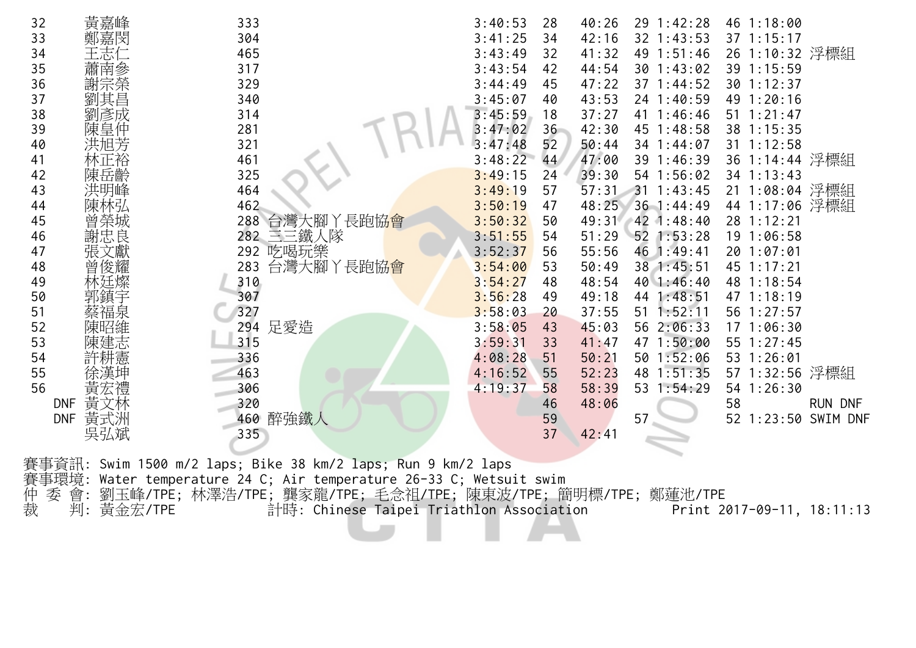| 32 | 黃嘉峰               | 333              | 3:40:53 | 28 | 40:26       | 29 1:42:28     | 46 1:18:00     |                |
|----|-------------------|------------------|---------|----|-------------|----------------|----------------|----------------|
| 33 | 鄭嘉閔               | 304              | 3:41:25 | 34 | 42:16       | 32 1:43:53     | 37 1:15:17     |                |
| 34 | 王志仁               | 465              | 3:43:49 | 32 | 49<br>41:32 | 1:51:46        | 26 1:10:32 浮標組 |                |
| 35 | 蕭南參               | 317              | 3:43:54 | 42 | 44:54       | 30 1:43:02     | 39 1:15:59     |                |
| 36 | 謝宗榮               | 329              | 3:44:49 | 45 | 47:22       | 37 1:44:52     | 30 1:12:37     |                |
| 37 | 劉其昌               | 340              | 3:45:07 | 40 | 43:53       | 24 1:40:59     | 49 1:20:16     |                |
| 38 | 劉彥成               | 314              | 3:45:59 | 18 | 37:27       | 41 1:46:46     | 51 1:21:47     |                |
| 39 | 陳皇仲               | 281              | 3:47:02 | 36 | 42:30<br>45 | 1:48:58        | 38 1:15:35     |                |
| 40 | 洪旭芳               | 321              | 3:47:48 | 52 | 50:44       | 34 1:44:07     | $31$ 1:12:58   |                |
| 41 | 林正裕               | 461              | 3:48:22 | 44 | 47:00       | 39 1:46:39     | 36 1:14:44 浮標組 |                |
| 42 | 陳岳齡               | 325              | 3:49:15 | 24 | 39:30       | 54 1:56:02     | 34 1:13:43     |                |
| 43 | 洪明峰               | 464              | 3:49:19 | 57 | 57:31       | $31 \t1:43:45$ | 21 1:08:04 浮標組 |                |
| 44 |                   | 462              | 3:50:19 | 47 | 48:25       | 36 1:44:49     | 44 1:17:06 浮標組 |                |
| 45 | 曾榮城               | 台灣大腳丫長跑協會<br>288 | 3:50:32 | 50 | 49:31       | 42 1:48:40     | 28 1:12:21     |                |
| 46 | 謝忠良               | 282 三三鐵人隊        | 3:51:55 | 54 | 51:29       | $52$ 1:53:28   | 19 1:06:58     |                |
| 47 |                   | 吃喝玩樂<br>292      | 3:52:37 | 56 | 55:56       | 46 1:49:41     | 20 1:07:01     |                |
| 48 | 曾俊耀               | 台灣大腳丫長跑協會<br>283 | 3:54:00 | 53 | 50:49       | 38 1:45:51     | 45 1:17:21     |                |
| 49 | 林廷燦               | 310              | 3:54:27 | 48 | 48:54       | 40 1:46:40     | 48 1:18:54     |                |
| 50 | 郭鎮宇               | 307              | 3:56:28 | 49 | 49:18<br>44 | 1:48:51        | 47 1:18:19     |                |
| 51 | 蔡福泉               | 327              | 3:58:03 | 20 | 37:55       | 51 1:52:11     | 56 1:27:57     |                |
| 52 | 陳昭維               | 足愛造<br>294       | 3:58:05 | 43 | 45:03       | 56 2:06:33     | 17 1:06:30     |                |
| 53 | 陳建志               | 315              | 3:59:31 | 33 | 41:47       | 47 1:50:00     | 55 1:27:45     |                |
| 54 | 許耕憲               | 336              | 4:08:28 | 51 | 50:21       | 50 1:52:06     | 53 1:26:01     |                |
| 55 |                   | 463              | 4:16:52 | 55 | 52:23<br>48 | 1:51:35        | 57 1:32:56 浮標組 |                |
| 56 | 黃宏禮               | 306              | 4:19:37 | 58 | 58:39<br>53 | 1:54:29        | 54 1:26:30     |                |
|    | 黃文林<br><b>DNF</b> | 320              |         | 46 | 48:06       |                | 58             | <b>RUN DNF</b> |
|    | 黃式洲<br><b>DNF</b> | 醉強鐵人<br>460      |         | 59 | 57          |                | 1:23:50<br>52  | SWIM DNF       |
|    | 吳弘斌               | 335              |         | 37 | 42:41       |                |                |                |
|    |                   |                  |         |    |             |                |                |                |

賽事資訊: Swim 1500 m/2 laps; Bike 38 km/2 laps; Run 9 km/2 laps 賽事環境: Water temperature 24 C; Air temperature 26-33 C; Wetsuit swim 仲 委 會: 劉玉峰/TPE; 林澤浩/TPE; 龔家龍/TPE; 毛念祖/TPE; 陳東波/TPE; 簡明標/TPE; 鄭蓮池/TPE 裁 判: 黃金宏/TPE 計時: Chinese Taipei Triathlon Association Print 2017-09-11, 18:11:13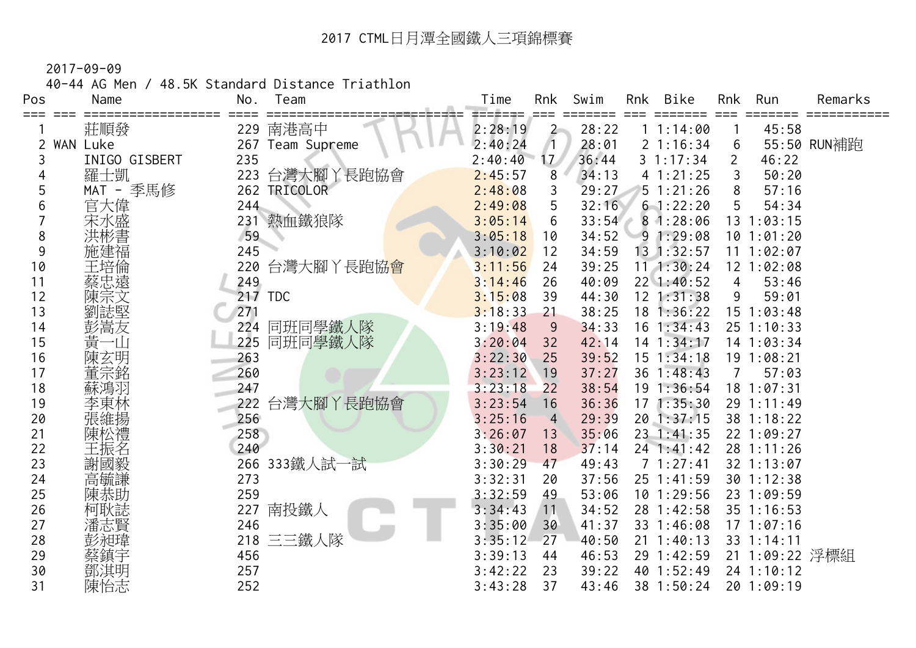40-44 AG Men / 48.5K Standard Distance Triathlon

| Pos | Name            | No.<br>Team         | Time    | Rnk             | Swim  | Rnk | <b>Bike</b>        | Rnk            | Run            | Remarks     |
|-----|-----------------|---------------------|---------|-----------------|-------|-----|--------------------|----------------|----------------|-------------|
|     | 莊順發             | 南港高中<br>229         | 2:28:19 | $\overline{2}$  | 28:22 |     | 11:14:00           |                | 45:58          |             |
|     | <b>WAN Luke</b> | 267<br>Team Supreme | 2:40:24 |                 | 28:01 |     | 21:16:34           | 6              |                | 55:50 RUN補跑 |
| 3   | INIGO GISBERT   | 235                 | 2:40:40 | 17 <sub>2</sub> | 36:44 |     | 31:17:34           | $\overline{2}$ | 46:22          |             |
|     | 羅士凱             | 台灣大腳丫長跑協會<br>223    | 2:45:57 | 8               | 34:13 |     | 41:21:25           |                | 50:20          |             |
| 5   | MAT - 季馬修       | TRICOLOR<br>262     | 2:48:08 | 3               | 29:27 |     | 51:21:26           | 8              | 57:16          |             |
| 6   | 官大偉             | 244                 | 2:49:08 | 5               | 32:16 |     | $6 - 1:22:20$      | 5              | 54:34          |             |
|     | 宋水盛             | 熱血鐵狼隊<br>231        | 3:05:14 | 6               | 33:54 |     | 81:28:06           |                | $13 \t1:03:15$ |             |
| 8   |                 | 59                  | 3:05:18 | 10              | 34:52 |     | 91:29:08           |                | 101:01:20      |             |
| 9   | 施建福             | 245                 | 3:10:02 | 12              | 34:59 |     | $13 \t1:32:57$     |                | 11 1:02:07     |             |
| 10  | 王培倫             | 台灣大腳丫長跑協會<br>220    | 3:11:56 | 24              | 39:25 |     | 111:30:24          |                | 12 1:02:08     |             |
| 11  | 蔡忠遠             | 249                 | 3:14:46 | 26              | 40:09 |     | $22 \quad 1:40:52$ | 4              | 53:46          |             |
| 12  |                 | 217 TDC             | 3:15:08 | 39              | 44:30 |     | $12$ $1:31:38$     | 9              | 59:01          |             |
| 13  | 劉誌堅             | 271                 | 3:18:33 | 21              | 38:25 |     | $18$ 1:36:22       | 15             | 1:03:48        |             |
| 14  | 彭嵩友             | 同班同學鐵人隊<br>224      | 3:19:48 | 9               | 34:33 |     | $16$ 1:34:43       |                | 25 1:10:33     |             |
| 15  | 黃一山             | 同班同學鐵人隊<br>225      | 3:20:04 | 32              | 42:14 |     | 14 1:34:17         |                | 14 1:03:34     |             |
| 16  | 陳玄明             | 263                 | 3:22:30 | 25              | 39:52 |     | $15$ $1:34:18$     |                | 19 1:08:21     |             |
| 17  | 董宗銘             | 260                 | 3:23:12 | 19              | 37:27 |     | $36 \t1:48:43$     | 7              | 57:03          |             |
| 18  | 蘇鴻羽             | 247                 | 3:23:18 | 22              | 38:54 |     | 191:36:54          |                | 18 1:07:31     |             |
| 19  | 李東林             | 台灣大腳丫長跑協會<br>222    | 3:23:54 | 16              | 36:36 | 17  | 1:35:30            |                | 29 1:11:49     |             |
| 20  | 張維揚             | 256                 | 3:25:16 | $\overline{4}$  | 29:39 |     | 20 1:37:15         |                | 38 1:18:22     |             |
| 21  | 陳松禮             | 258                 | 3:26:07 | 13              | 35:06 |     | 23 1:41:35         |                | 22 1:09:27     |             |
| 22  | 王振名             | 240                 | 3:30:21 | 18              | 37:14 |     | $24$ 1:41:42       |                | 28 1:11:26     |             |
| 23  | 謝國毅             | 333鐵人試一試<br>266     | 3:30:29 | 47              | 49:43 |     | 71:27:41           |                | 32 1:13:07     |             |
| 24  | 高毓謙             | 273                 | 3:32:31 | 20              | 37:56 |     | 25 1:41:59         |                | 30 1:12:38     |             |
| 25  |                 | 259                 | 3:32:59 | 49              | 53:06 |     | $10$ 1:29:56       |                | 23 1:09:59     |             |
| 26  | 柯耿誌             | 南投鐵人<br>227         | 3:34:43 | 11              | 34:52 |     | 28 1:42:58         |                | 35 1:16:53     |             |
| 27  | 潘志賢             | 246                 | 3:35:00 | 30              | 41:37 |     | 33 1:46:08         |                | $17 \t1:07:16$ |             |
| 28  | 彭昶瑋             | 三三鐵人隊<br>218        | 3:35:12 | 27              | 40:50 | 21  | 1:40:13            |                | 33 1:14:11     |             |
| 29  | 蔡鎮宇             | 456                 | 3:39:13 | 44              | 46:53 |     | 29 1:42:59         |                | 21 1:09:22 浮標組 |             |
| 30  | 鄧淇明             | 257                 | 3:42:22 | 23              | 39:22 |     | 40 1:52:49         |                | 24 1:10:12     |             |
| 31  | 陳怡志             | 252                 | 3:43:28 | 37              | 43:46 |     | 38 1:50:24         |                | 20 1:09:19     |             |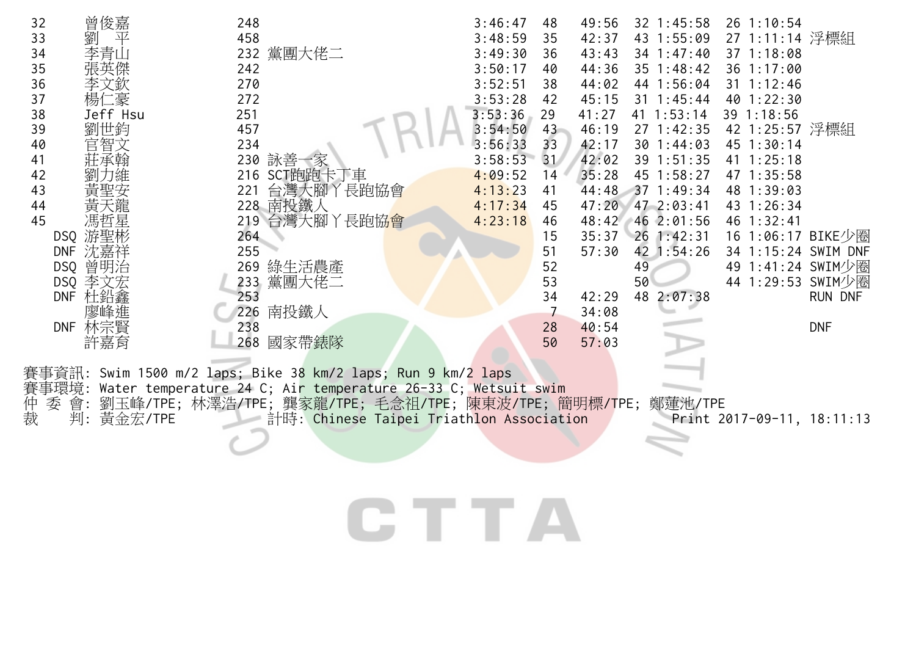| 32 | 曾俊嘉               | 248                                                          | 3:46:47<br>48              | 49:56 | 32 1:45:58     | 26 1:10:54          |            |
|----|-------------------|--------------------------------------------------------------|----------------------------|-------|----------------|---------------------|------------|
| 33 | 劉<br>平            | 458                                                          | 3:48:59<br>35              | 42:37 | 43 1:55:09     | 27 1:11:14 浮標組      |            |
| 34 | 李青山               | 232 黨團大佬二                                                    | 3:49:30<br>36              | 43:43 | 34 1:47:40     | 37 1:18:08          |            |
| 35 |                   | 242                                                          | 3:50:17<br>40              | 44:36 | 35 1:48:42     | 36 1:17:00          |            |
| 36 | 李文欽               | 270                                                          | 3:52:51<br>38              | 44:02 | 44 1:56:04     | 31 1:12:46          |            |
| 37 | 楊仁豪               | 272                                                          | 3:53:28<br>42              | 45:15 | $31 \t1:45:44$ | 40 1:22:30          |            |
| 38 | Jeff Hsu          | 251                                                          | 3:53:36<br>29              | 41:27 | 41 1:53:14     | 39 1:18:56          |            |
| 39 | 劉世鈞               | 457                                                          | 3:54:50<br>$43 -$          | 46:19 | 27 1:42:35     | 42 1:25:57 浮標組      |            |
| 40 | 官智文               | 234                                                          | 3:56:33<br>33              | 42:17 | 30 1:44:03     | 45 1:30:14          |            |
| 41 | 莊承翰               | 230 詠善一家                                                     | 3:58:53<br>31 <sup>7</sup> | 42:02 | 39 1:51:35     | $41 \t1:25:18$      |            |
| 42 |                   | 216 SCT跑跑卡丁車                                                 | 4:09:52<br>14              | 35:28 | 45 1:58:27     | 47 1:35:58          |            |
| 43 |                   | 台灣大腳丫長跑協會<br>221                                             | 4:13:23<br>41              | 44:48 | 371:49:34      | 48 1:39:03          |            |
| 44 | 黃天龍               | 228 南投鐵人                                                     | 4:17:34<br>45              | 47:20 | 47 2:03:41     | 43 1:26:34          |            |
| 45 | 馮哲星               | 219 台灣大腳丫長跑協會                                                | 4:23:18<br>46              | 48:42 | 46 2:01:56     | 46 1:32:41          |            |
|    | 游聖彬<br>DSQ        | 264                                                          | 15                         | 35:37 | 26 1:42:31     | 16 1:06:17 BIKE少圈   |            |
|    | 沈嘉祥<br><b>DNF</b> | 255                                                          | 51                         | 57:30 | 42 1:54:26     | 34 1:15:24 SWIM DNF |            |
|    | DSQ 曾明治           | 269 綠生活農產                                                    | 52                         |       | 49             | 49 1:41:24 SWIM少圈   |            |
|    | 李文宏<br>DSQ        | 黨團大佬二<br>233                                                 | 53                         |       | 50             | 44 1:29:53 SWIM少圈   |            |
|    | DNF 杜鉛鑫           | 253                                                          | 34                         | 42:29 | 48<br>2:07:38  |                     | RUN DNF    |
|    | 隆進                | 南投鐵人<br>226                                                  |                            | 34:08 |                |                     |            |
|    | 林宗賢<br><b>DNF</b> | 238                                                          | 28                         | 40:54 |                |                     | <b>DNF</b> |
|    | 許嘉育               | 國家帶錶隊<br>268                                                 | 50                         | 57:03 |                |                     |            |
|    |                   |                                                              |                            |       |                |                     |            |
|    |                   | 賽事資訊: Swim 1500 m/2 laps; Bike 38 km/2 laps; Run 9 km/2 laps |                            |       |                |                     |            |

賽事環境: Water temperature 24 C; Air temperature 26-33 C; Wetsuit swim

仲 委 會: 劉玉峰/TPE; 林澤浩/TPE; 龔家龍/TPE; 毛念祖/TPE; 陳東波/TPE; 簡明標/TPE; 鄭蓮池/TPE

裁 判: 黃金宏/TPE 計時: Chinese Taipei Triathlon Association Print 2017-09-11, 18:11:13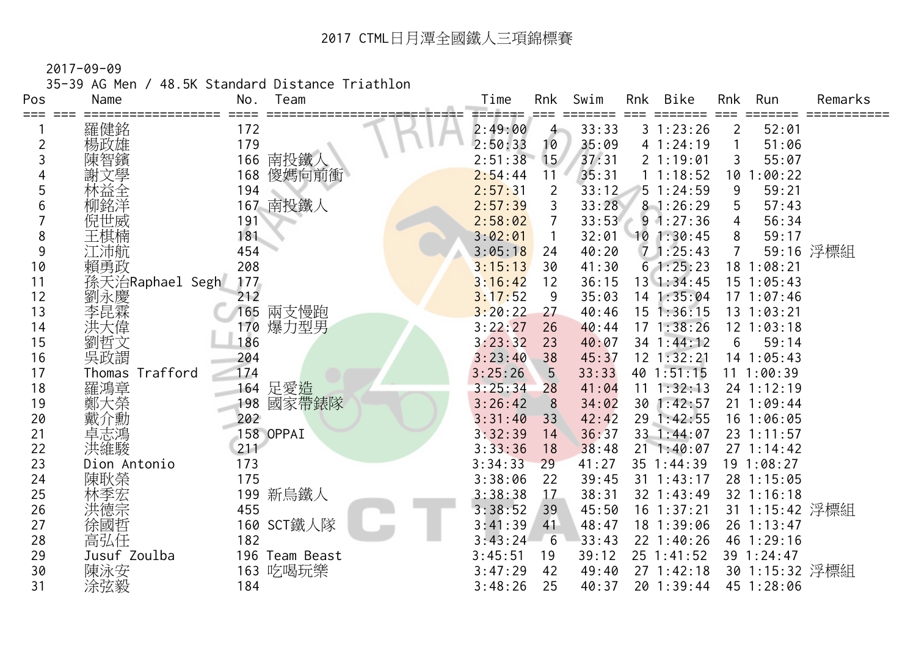2017-09-09

35-39 AG Men / 48.5K Standard Distance Triathlon

| Pos | Name            | No. | Team           | Time    | Rnk            | Swim  | Rnk | <b>Bike</b>    | Rnk | Run            | Remarks   |
|-----|-----------------|-----|----------------|---------|----------------|-------|-----|----------------|-----|----------------|-----------|
| === | 羅健銘             | 172 |                | 2:49:00 | $\overline{4}$ | 33:33 |     | 31:23:26       | 2   | 52:01          |           |
| 2   | 楊政雄             | 179 |                | 2:50:33 | 10             | 35:09 |     | 41:24:19       |     | 51:06          |           |
| 3   |                 | 166 | 南投鐵人           | 2:51:38 | 15             | 37:31 |     | 21:19:01       | 3   | 55:07          |           |
| 4   |                 | 168 | 傻媽向前衝          | 2:54:44 | 11             | 35:31 |     | 11:18:52       | 10  | :00:22         |           |
| 5   | 林益全             | 194 |                | 2:57:31 | $\overline{2}$ | 33:12 |     | 51:24:59       | 9   | 59:21          |           |
| 6   | 柳銘洋             |     | 167 南投鐵人       | 2:57:39 | 3              | 33:28 |     | 81:26:29       | 5   | 57:43          |           |
|     | 倪世威             | 191 |                | 2:58:02 | $\overline{7}$ | 33:53 |     | $9 \t1:27:36$  | 4   | 56:34          |           |
| 8   | 王棋楠             | 181 |                | 3:02:01 | 1              | 32:01 |     | 101:30:45      | 8   | 59:17          |           |
| 9   | 江沛航             | 454 |                | 3:05:18 | 24             | 40:20 |     | 71:25:43       |     |                | 59:16 浮標組 |
| 10  | 賴勇政             | 208 |                | 3:15:13 | 30             | 41:30 |     | 61:25:23       |     | 18 1:08:21     |           |
| 11  | 孫天治Raphael Segh | 177 |                | 3:16:42 | 12             | 36:15 |     | 13 1:34:45     |     | 15 1:05:43     |           |
| 12  | 劉永慶             | 212 |                | 3:17:52 | 9              | 35:03 |     | 14 1:35:04     |     | $17 \t1:07:46$ |           |
| 13  | 李昆霖             | 165 | 兩支慢跑           | 3:20:22 | 27             | 40:46 |     | $15$ $1:36:15$ |     | $13 \t1:03:21$ |           |
| 14  | 洪大偉             | 170 | 爆力型男           | 3:22:27 | 26             | 40:44 | 17  | 1:38:26        |     | $12$ $1:03:18$ |           |
| 15  | 劉哲文             | 186 |                | 3:23:32 | 23             | 40:07 |     | 34 1:44:12     | 6   | 59:14          |           |
| 16  | 吳政謂             | 204 |                | 3:23:40 | 38             | 45:37 |     | $12$ $1:32:21$ |     | 14 1:05:43     |           |
| 17  | Thomas Trafford | 174 |                | 3:25:26 | 5              | 33:33 |     | $40$ 1:51:15   |     | 111:00:39      |           |
| 18  | 羅鴻章             | 164 | 足愛造            | 3:25:34 | 28             | 41:04 | 11  | 1:32:13        |     | 24 1:12:19     |           |
| 19  | 鄭大榮             | 198 | 國家帶錶隊          | 3:26:42 | 8              | 34:02 |     | 30 1:42:57     |     | 21 1:09:44     |           |
| 20  | 戴介勳             | 202 |                | 3:31:40 | 33             | 42:42 |     | 29 1:42:55     |     | 16 1:06:05     |           |
| 21  | 卓志鴻             |     | 158 OPPAI      | 3:32:39 | 14             | 36:37 |     | 33 1:44:07     |     | 23 1:11:57     |           |
| 22  | 洪維駿             | 211 |                | 3:33:36 | 18             | 38:48 |     | $21 \t1:40:07$ |     | $27 \t1:14:42$ |           |
| 23  | Dion Antonio    | 173 |                | 3:34:33 | 29             | 41:27 |     | 35 1:44:39     |     | 19 1:08:27     |           |
| 24  | 陳耿榮             | 175 |                | 3:38:06 | 22             | 39:45 |     | $31 \t1:43:17$ |     | 28 1:15:05     |           |
| 25  | 林季宏             |     | 199 新烏鐵人       | 3:38:38 | 17             | 38:31 |     | 32 1:43:49     |     | 32 1:16:18     |           |
| 26  | 共德宗             | 455 |                | 3:38:52 | 39             | 45:50 |     | $16$ $1:37:21$ |     | 31 1:15:42 浮標組 |           |
| 27  | 徐國哲             |     | 160 SCT鐵人隊     | 3:41:39 | 41             | 48:47 |     | 18 1:39:06     |     | 26 1:13:47     |           |
| 28  | 高弘任             | 182 |                | 3:43:24 | 6              | 33:43 |     | 22 1:40:26     |     | 46 1:29:16     |           |
| 29  | Jusuf Zoulba    |     | 196 Team Beast | 3:45:51 | 19             | 39:12 |     | 25 1:41:52     |     | 39 1:24:47     |           |
| 30  | 陳泳安             |     | 163 吃喝玩樂       | 3:47:29 | 42             | 49:40 |     | 27 1:42:18     |     | 30 1:15:32 浮標組 |           |
| 31  | 涂弦毅             | 184 |                | 3:48:26 | 25             | 40:37 |     | 20 1:39:44     |     | 45 1:28:06     |           |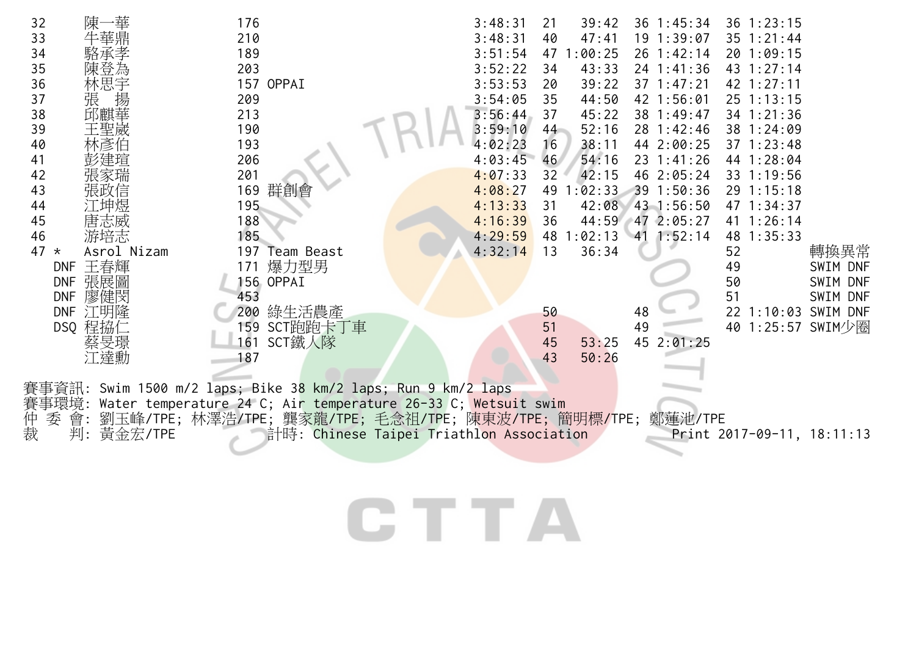| 陳一華<br>32<br>33<br>34<br>35<br>陳登為<br>36<br>林思宇<br>揚<br>張<br>37<br>邱麒華<br>38<br>39<br>王聖歲<br>40<br>41<br>42<br>張家瑞<br>43<br>張政信<br>44<br>45<br>唐志威<br>游培志<br>46<br>Asrol Nizam<br>47<br>$\star$<br>王春輝<br><b>DNF</b> | 176<br>210<br>189<br>203<br>157 OPPAI<br>209<br>213<br>190<br>193<br>206<br>201<br>169 群創會<br>195<br>188<br>185<br>197 Team Beast<br>爆力型男<br>171 | 3:48:31<br>39:42<br>21<br>3:48:31<br>47:41<br>40<br>3:51:54<br>47 1:00:25<br>3:52:22<br>43:33<br>34<br>3:53:53<br>39:22<br>20<br>3:54:05<br>44:50<br>35<br>3:56:44<br>45:22<br>37<br>52:16<br>3:59:10<br>44<br>4:02:23<br>38:11<br>16<br>4:03:45<br>54:16<br>46<br>4:07:33<br>42:15<br>32<br>4:08:27<br>49<br>1:02:33<br>42:08<br>4:13:33<br>31<br>4:16:39<br>44:59<br>36<br>4:29:59<br>1:02:13<br>48<br>36:34<br>4:32:14<br>13 | $36 \t1:45:34$<br>19 1:39:07<br>26 1:42:14<br>$24$ 1:41:36<br>$37 \t1:47:21$<br>42 1:56:01<br>38 1:49:47<br>28 1:42:46<br>44 2:00:25<br>$23 \t1:41:26$<br>46 2:05:24<br>39 1:50:36<br>43 1:56:50<br>47 2:05:27<br>$41 \; 1:52:14$ | 36 1:23:15<br>$35 \t1:21:44$<br>20 1:09:15<br>43 1:27:14<br>42 1:27:11<br>25 1:13:15<br>34 1:21:36<br>38 1:24:09<br>37 1:23:48<br>44 1:28:04<br>33 1:19:56<br>29 1:15:18<br>47 1:34:37<br>41 1:26:14<br>48 1:35:33<br>轉換異常<br>52<br>49<br>SWIM DNF |  |  |  |  |
|----------------------------------------------------------------------------------------------------------------------------------------------------------------------------------------------------------------------|--------------------------------------------------------------------------------------------------------------------------------------------------|---------------------------------------------------------------------------------------------------------------------------------------------------------------------------------------------------------------------------------------------------------------------------------------------------------------------------------------------------------------------------------------------------------------------------------|-----------------------------------------------------------------------------------------------------------------------------------------------------------------------------------------------------------------------------------|----------------------------------------------------------------------------------------------------------------------------------------------------------------------------------------------------------------------------------------------------|--|--|--|--|
| 張展圖<br><b>DNF</b>                                                                                                                                                                                                    | 156 OPPAI                                                                                                                                        |                                                                                                                                                                                                                                                                                                                                                                                                                                 |                                                                                                                                                                                                                                   | 50<br>SWIM DNF                                                                                                                                                                                                                                     |  |  |  |  |
| 廖健閔<br><b>DNF</b>                                                                                                                                                                                                    | 453                                                                                                                                              |                                                                                                                                                                                                                                                                                                                                                                                                                                 |                                                                                                                                                                                                                                   | 51<br>SWIM DNF                                                                                                                                                                                                                                     |  |  |  |  |
| 江明隆<br><b>DNF</b><br>DSQ 程拹仁                                                                                                                                                                                         | 綠生活農產<br>200<br>159 SCT跑跑卡丁車                                                                                                                     | 50<br>51                                                                                                                                                                                                                                                                                                                                                                                                                        | 48<br>49                                                                                                                                                                                                                          | 22 1:10:03<br>SWIM DNF<br>40 1:25:57 SWIM少圈                                                                                                                                                                                                        |  |  |  |  |
| 旻璟<br>江達勳                                                                                                                                                                                                            | SCT鐵人隊<br>161<br>187                                                                                                                             | 45<br>53:25<br>50:26<br>43                                                                                                                                                                                                                                                                                                                                                                                                      | 45 2:01:25                                                                                                                                                                                                                        |                                                                                                                                                                                                                                                    |  |  |  |  |
| Swim 1500 m/2 laps; Bike 38 km/2 laps; Run 9 km/2 laps<br>Water temperature 24 C; Air temperature 26-33 C; Wetsuit swim<br>賽事環境:                                                                                     |                                                                                                                                                  |                                                                                                                                                                                                                                                                                                                                                                                                                                 |                                                                                                                                                                                                                                   |                                                                                                                                                                                                                                                    |  |  |  |  |

仲 委 會: 劉玉峰/TPE; 林澤浩/TPE; 龔家龍/TPE; 毛念祖/TPE; 陳東波/TPE; 簡明標/TPE; 鄭蓮池/TPE 裁 判: 黃金宏/TPE 計時: Chinese Taipei Triathlon Association Print 2017-09-11, 18:11:13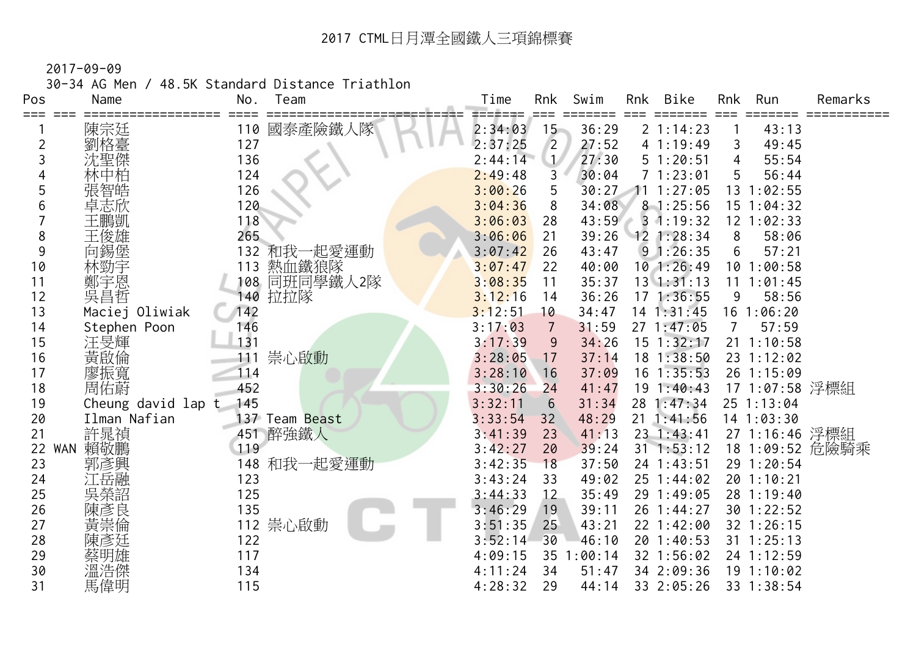30-34 AG Men / 48.5K Standard Distance Triathlon

| Pos              | Name               | No.        | Team           | Time               | Rnk            | Swim             | Rnk | <b>Bike</b>              | Rnk | Run                     | Remarks         |
|------------------|--------------------|------------|----------------|--------------------|----------------|------------------|-----|--------------------------|-----|-------------------------|-----------------|
| ===              | 陳宗廷                | 110        | 國泰產險鐵人隊        | 2:34:03            | $15 -$         | 36:29            |     | 2 1:14:23                |     | 43:13                   |                 |
| 2                | 劉格臺                | 127        |                | 2:37:25            | $\overline{2}$ | 27:52            |     | 4 1:19:49                | 3   | 49:45                   |                 |
| 3                | 沈聖傑                | 136        |                | 2:44:14            | $\mathbf{1}$   | 27:30            |     | 51:20:51                 | 4   | 55:54                   |                 |
|                  |                    | 124        |                | 2:49:48            | 3              | 30:04            |     | 71:23:01                 | 5   | 56:44                   |                 |
| 5                |                    | 126        |                | 3:00:26            | 5              | 30:27            |     | 1:27:05                  | 13  | 1:02:55                 |                 |
| 6                | 卓志欣                | 120        |                | 3:04:36            | 8              | 34:08            |     | 81:25:56                 |     | 15 1:04:32              |                 |
|                  | 王鵬凱                | 118        |                | 3:06:03            | 28             | 43:59            |     | $3 \t1:19:32$            |     | 12 1:02:33              |                 |
| 8                | 王俊雄                | 265        |                | 3:06:06            | 21             | 39:26            |     | $12$ 1:28:34             | 8   | 58:06                   |                 |
| 9                | 向錫堡                | 132        | 和我一起愛運動        | 3:07:42            | 26             | 43:47            |     | 91:26:35                 | 6   | 57:21                   |                 |
| 10               | 林勁宇                | 113        | 熱血鐵狼隊          | 3:07:47            | 22             | 40:00            |     | $10$ 1:26:49             | 10  | 1:00:58                 |                 |
| 11               | 鄭宇恩                | 108        | 同班同學鐵人2隊       | 3:08:35            | 11             | 35:37            |     | $13 \t1:31:13$           | 11  | 1:01:45                 |                 |
| 12               | 吳昌哲                | 140        | 拉拉隊            | 3:12:16            | 14             | 36:26            |     | 171:36:55                | 9   | 58:56                   |                 |
| 13               | Maciej Oliwiak     | 142        |                | 3:12:51            | 10             | 34:47            |     | $14 \t1:31:45$           | 16  | 1:06:20                 |                 |
| 14               | Stephen Poon       | 146        |                | 3:17:03            | $\overline{7}$ | 31:59            |     | 27 1:47:05               | 7   | 57:59                   |                 |
| 15               | 汪旻輝                | 131        |                | 3:17:39            | 9              | 34:26            |     | $15$ $1:32:17$           |     | $21 \t1:10:58$          |                 |
| 16               | 黃啟倫                | 111        | 崇心啟動           | 3:28:05            | 17             | 37:14            |     | $18$ 1:38:50             |     | 23 1:12:02              |                 |
| 17               | 廖振寬<br>周佑蔚         | 114        |                | 3:28:10            | 16             | 37:09            |     | $16$ 1:35:53             |     | 26 1:15:09              |                 |
| 18               |                    | 452        |                | 3:30:26            | 24             | 41:47            |     | 19 1:40:43               |     | 17 1:07:58 浮標組          |                 |
| 19               | Cheung david lap t | 145        |                | 3:32:11            | $6\phantom{1}$ | 31:34            |     | 28 1:47:34               |     | 25 1:13:04              |                 |
| 20               | Ilman Nafian       |            | 137 Team Beast | 3:33:54            | 32             | 48:29            |     | $21 \t1:41:56$           |     | 14 1:03:30              |                 |
| 21               | 許晁禎                |            | 451 醉強鐵人       | 3:41:39            | 23             | 41:13            |     | $23 \t1:43:41$           |     | 27 1:16:46 浮標組          |                 |
| 22<br><b>WAN</b> | 賴敬鵬                | 119        |                | 3:42:27            | 20             | 39:24            |     | $31$ 1:53:12             |     |                         | 18 1:09:52 危險騎乘 |
| 23               | 郭彥興                | 148        | 和我一起愛運動        | 3:42:35            | 18             | 37:50            |     | 24 1:43:51               |     | 29 1:20:54              |                 |
| 24               | 江岳融                | 123        |                | 3:43:24            | 33             | 49:02            |     | 25 1:44:02               |     | 20 1:10:21              |                 |
| 25               | 吳榮詔                | 125        |                | 3:44:33            | 12             | 35:49            |     | 29 1:49:05               |     | 28 1:19:40              |                 |
| 26               | 陳彥良                | 135        |                | 3:46:29            | 19             | 39:11            |     | 26 1:44:27               |     | 30 1:22:52              |                 |
| 27               | 黃崇倫                | 112        | 崇心啟動           | 3:51:35            | 25             | 43:21            |     | 22 1:42:00               |     | 32 1:26:15              |                 |
| 28               |                    | 122        |                | 3:52:14            | 30             | 46:10            |     | 20 1:40:53               |     | $31 \t1:25:13$          |                 |
| 29<br>30         |                    | 117<br>134 |                | 4:09:15<br>4:11:24 | 35<br>34       | 1:00:14<br>51:47 |     | 32 1:56:02<br>34 2:09:36 |     | 24 1:12:59<br>191:10:02 |                 |
| 31               | 溫浩傑<br>馬偉明         | 115        |                | 4:28:32            | 29             | 44:14            |     | 33 2:05:26               |     | 33 1:38:54              |                 |
|                  |                    |            |                |                    |                |                  |     |                          |     |                         |                 |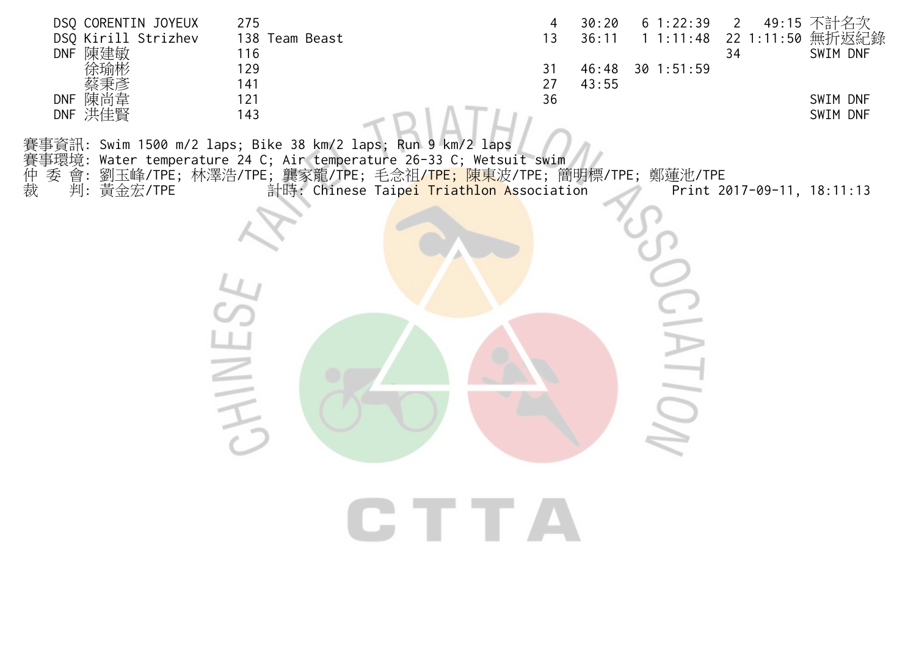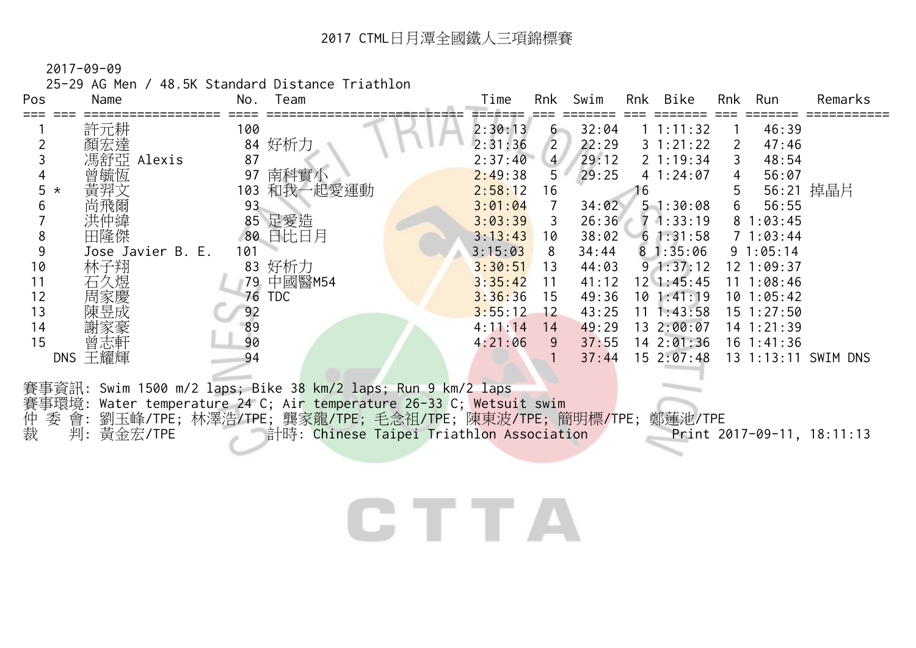25-29 AG Men / 48.5K Standard Distance Triathlon

| Pos          | Name              | Team<br>No.                                                         |                                                  | Time    | Rnk            | Swim  |    | Rnk Bike          | Rnk | Run            | Remarks                    |
|--------------|-------------------|---------------------------------------------------------------------|--------------------------------------------------|---------|----------------|-------|----|-------------------|-----|----------------|----------------------------|
|              | 許元耕               | 100                                                                 |                                                  | 2:30:13 | $6 -$          | 32:04 |    | 1 1:11:32         |     | 46:39          |                            |
|              | 顏宏達               | 84 好析力                                                              |                                                  | 2:31:36 | $\overline{2}$ | 22:29 |    | $3 \t1:21:22$     | 2   | 47:46          |                            |
|              | 馮舒亞 Alexis        | 87                                                                  |                                                  | 2:37:40 | 4 <sup>7</sup> | 29:12 |    | $2 \t1:19:34$     | 3   | 48:54          |                            |
|              | 曾毓恆               | 南科實小<br>97                                                          |                                                  | 2:49:38 | 5              | 29:25 |    | 41:24:07          | 4   | 56:07          |                            |
| 5<br>$\star$ | 黃羿文               | 103 和我一起愛運動                                                         |                                                  | 2:58:12 | 16             |       | 16 |                   | 5   |                | 56:21 掉晶片                  |
|              |                   | 93                                                                  |                                                  | 3:01:04 | $\overline{7}$ | 34:02 |    | 51:30:08          | 6   | 56:55          |                            |
|              | 洪仲緯               | 85 足愛造                                                              |                                                  | 3:03:39 | 3              | 26:36 |    | $7 \cdot 1:33:19$ |     | 81:03:45       |                            |
| 8            | 田隆傑               | 80 日比日月                                                             |                                                  | 3:13:43 | 10             | 38:02 |    | $6 \; 1:31:58$    |     | 71:03:44       |                            |
| 9            | Jose Javier B. E. | 101                                                                 |                                                  | 3:15:03 | 8              | 34:44 |    | 81:35:06          |     | 91:05:14       |                            |
| 10           | 林子翔               | 83 好析力                                                              |                                                  | 3:30:51 | 13             | 44:03 |    | $9 \t1:37:12$     |     | 12 1:09:37     |                            |
| 11           | 石久煜               | 79 中國醫M54                                                           |                                                  | 3:35:42 | 11             | 41:12 |    | $12 \; 1:45:45$   |     | $11 \t1:08:46$ |                            |
| 12           | 周家慶               | 76 TDC                                                              |                                                  | 3:36:36 | 15             | 49:36 |    | 101:41:19         |     | 101:05:42      |                            |
| 13           | 陳昱成               | 92                                                                  |                                                  | 3:55:12 | 12             | 43:25 |    | $11 \t1:43:58$    |     | $15 \t1:27:50$ |                            |
| 14           |                   | 89                                                                  |                                                  | 4:11:14 | 14             | 49:29 |    | 13 2:00:07        |     | 14 1:21:39     |                            |
| 15           | 曾志軒               | 90                                                                  |                                                  | 4:21:06 | 9              | 37:55 |    | 142:01:36         |     | $16 \t1:41:36$ |                            |
|              | DNS 王耀輝           | 94                                                                  |                                                  |         |                | 37:44 |    | $15 \t2:07:48$    |     |                | 13 1:13:11 SWIM DNS        |
|              |                   |                                                                     |                                                  |         |                |       |    |                   |     |                |                            |
|              |                   | 賽事資訊: Swim 1500 m/2 laps; Bike 38 km/2 laps; Run 9 km/2 laps        |                                                  |         |                |       |    |                   |     |                |                            |
|              |                   | 賽事環境: Water temperature 24 C; Air temperature 26-33 C; Wetsuit swim |                                                  |         |                |       |    |                   |     |                |                            |
| 仲裁<br>季      | 會:                | 劉玉峰/TPE; 林澤浩/TPE; 龔家龍/TPE; 毛念祖/TPE; 陳東波/TPE; 簡明標/TPE; 鄭蓮池/TPE       |                                                  |         |                |       |    |                   |     |                |                            |
|              | 判:黃金宏/TPE         |                                                                     | <b>一計時: Chinese Taipei Triathlon Association</b> |         |                |       |    |                   |     |                | Print 2017-09-11, 18:11:13 |

### **CTTA**